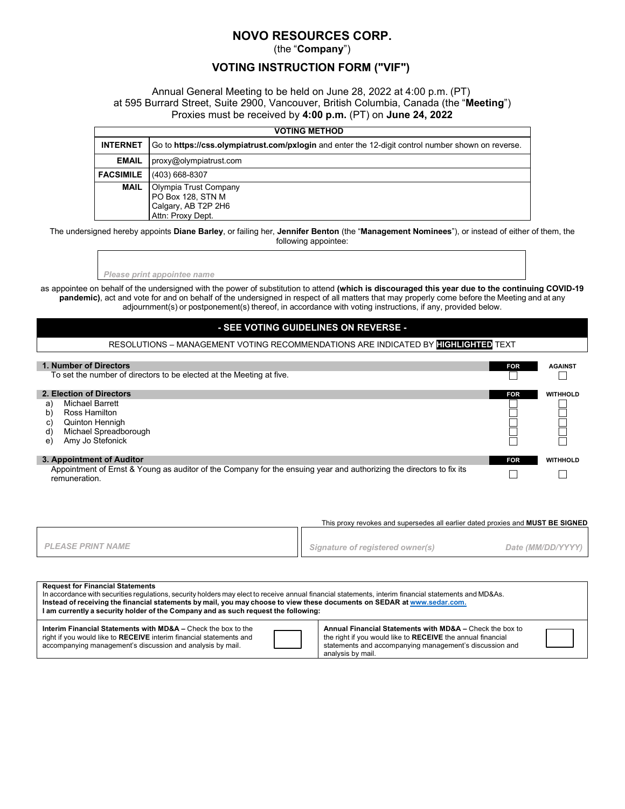# **NOVO RESOURCES CORP.**

(the "**Company**")

### **VOTING INSTRUCTION FORM ("VIF")**

#### Annual General Meeting to be held on June 28, 2022 at 4:00 p.m. (PT) at 595 Burrard Street, Suite 2900, Vancouver, British Columbia, Canada (the "**Meeting**") Proxies must be received by **4:00 p.m.** (PT) on **June 24, 2022**

| <b>VOTING METHOD</b> |                                                                                                    |  |  |  |  |  |
|----------------------|----------------------------------------------------------------------------------------------------|--|--|--|--|--|
| <b>INTERNET</b>      | Go to https://css.olympiatrust.com/pxlogin and enter the 12-digit control number shown on reverse. |  |  |  |  |  |
| <b>EMAIL</b>         | proxy@olympiatrust.com                                                                             |  |  |  |  |  |
| <b>FACSIMILE</b>     | (403) 668-8307                                                                                     |  |  |  |  |  |
| <b>MAIL</b>          | Olympia Trust Company<br>PO Box 128, STN M<br>Calgary, AB T2P 2H6<br>Attn: Proxy Dept.             |  |  |  |  |  |

The undersigned hereby appoints **Diane Barley**, or failing her, **Jennifer Benton** (the "**Management Nominees**"), or instead of either of them, the following appointee:

*Please print appointee name*

as appointee on behalf of the undersigned with the power of substitution to attend **(which is discouraged this year due to the continuing COVID-19 pandemic)**, act and vote for and on behalf of the undersigned in respect of all matters that may properly come before the Meeting and at any adjournment(s) or postponement(s) thereof, in accordance with voting instructions, if any, provided below.

#### **- SEE VOTING GUIDELINES ON REVERSE -**

RESOLUTIONS – MANAGEMENT VOTING RECOMMENDATIONS ARE INDICATED BY **HIGHLIGHTED** TEXT

| 1. Number of Directors                                                                                                                |                          |            | <b>AGAINST</b>  |
|---------------------------------------------------------------------------------------------------------------------------------------|--------------------------|------------|-----------------|
| To set the number of directors to be elected at the Meeting at five.                                                                  |                          |            |                 |
|                                                                                                                                       | 2. Election of Directors | <b>FOR</b> | <b>WITHHOLD</b> |
| a                                                                                                                                     | <b>Michael Barrett</b>   |            |                 |
| $\mathsf{b}$                                                                                                                          | Ross Hamilton            |            |                 |
| C)                                                                                                                                    | <b>Quinton Hennigh</b>   |            |                 |
| d)                                                                                                                                    | Michael Spreadborough    |            |                 |
| e)                                                                                                                                    | Amy Jo Stefonick         |            |                 |
| 3. Appointment of Auditor                                                                                                             |                          | <b>FOR</b> | <b>WITHHOLD</b> |
| Appointment of Ernst & Young as auditor of the Company for the ensuing year and authorizing the directors to fix its<br>remuneration. |                          |            |                 |

| This proxy revokes and supersedes all earlier dated proxies and <b>MUST BE SIGNED</b> |                                  |                   |  |  |  |
|---------------------------------------------------------------------------------------|----------------------------------|-------------------|--|--|--|
| <b>PLEASE PRINT NAME</b>                                                              | Signature of registered owner(s) | Date (MM/DD/YYYY) |  |  |  |
|                                                                                       |                                  |                   |  |  |  |

| <b>Request for Financial Statements</b><br>In accordance with securities regulations, security holders may elect to receive annual financial statements, interim financial statements and MD&As.<br>Instead of receiving the financial statements by mail, you may choose to view these documents on SEDAR at www.sedar.com.<br>I am currently a security holder of the Company and as such request the following: |  |                                                                                                                                                                                                         |  |  |  |  |  |
|--------------------------------------------------------------------------------------------------------------------------------------------------------------------------------------------------------------------------------------------------------------------------------------------------------------------------------------------------------------------------------------------------------------------|--|---------------------------------------------------------------------------------------------------------------------------------------------------------------------------------------------------------|--|--|--|--|--|
| Interim Financial Statements with MD&A – Check the box to the<br>right if you would like to RECEIVE interim financial statements and<br>accompanying management's discussion and analysis by mail.                                                                                                                                                                                                                 |  | Annual Financial Statements with MD&A - Check the box to<br>the right if you would like to RECEIVE the annual financial<br>statements and accompanying management's discussion and<br>analysis by mail. |  |  |  |  |  |